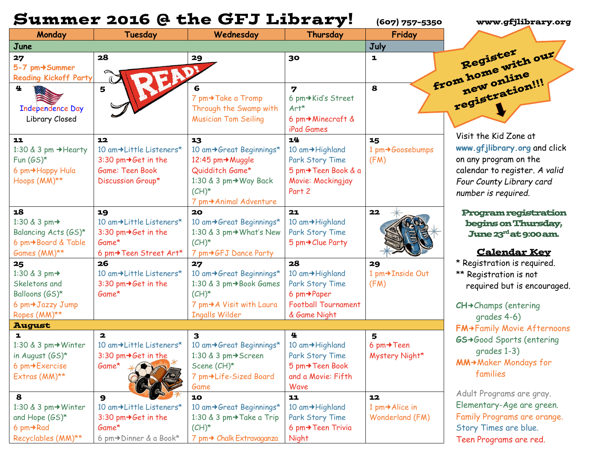|                                     |                                                    | <b>Summer 2016 @ the GFJ Library!</b>   |                            | (607) 757-5350               | www.gfjlibrary.org                |
|-------------------------------------|----------------------------------------------------|-----------------------------------------|----------------------------|------------------------------|-----------------------------------|
| Monday                              | Tuesday                                            | Wednesday                               | Thursday                   | Friday                       |                                   |
| June                                |                                                    |                                         |                            | July                         |                                   |
| 27                                  | 28                                                 | 29                                      | 30                         | ı                            | from home with our                |
| 5-7 pm+Summer                       |                                                    |                                         |                            |                              |                                   |
| <b>Reading Kickoff Party</b>        |                                                    |                                         |                            |                              | new online<br>registration!!!     |
| 生                                   | 5                                                  |                                         | $\overline{\mathbf{z}}$    | 8                            |                                   |
|                                     |                                                    | 7 pm→ Take a Tromp                      | 6 pm→Kid's Street          |                              |                                   |
| <b>Independence Day</b>             |                                                    | Through the Swamp with                  | $Art*$                     |                              |                                   |
| Library Closed                      |                                                    | <b>Musician Tom Seiling</b>             | 6 pm → Minecraft &         |                              |                                   |
|                                     |                                                    |                                         | iPad Games<br>14           |                              | Visit the Kid Zone at             |
| 11<br>1:30 & 3 pm → Hearty          | 12<br>10 am+Little Listeners*                      | 13<br>10 am→Great Beginnings*           | 10 am→Highland             | 15<br>1 pm→Goosebumps        | www.gfjlibrary.org and click      |
| Fun $(GS)^*$                        | 3:30 pm $\rightarrow$ Get in the                   | 12:45 pm→Muggle                         | Park Story Time            | (FM)                         | on any program on the             |
| 6 pm→Happy Hula                     | Game: Teen Book                                    | Quidditch Game*                         | 5 pm→Teen Book & a         |                              | calendar to register. A valid     |
| Hoops (MM)**                        | Discussion Group*                                  | 1:30 & 3 pm→ Way Back                   | Movie: Mockingjay          |                              | Four County Library card          |
|                                     |                                                    | $(CH)^*$                                | Part 2                     |                              |                                   |
|                                     |                                                    | 7 pm→ Animal Adventure                  |                            |                              | number is required.               |
| 18                                  | 19                                                 | 20                                      | 21                         | 22                           | <b>Program registration</b>       |
| 1:30 & 3 pm→                        | 10 am→Little Listeners*                            | 10 am→Great Beginnings*                 | 10 am→Highland             |                              | begins on Thursday,               |
| Balancing Acts (GS)*                | 3:30 pm $\rightarrow$ Get in the                   | 1:30 & 3 pm→ What's New                 | Park Story Time            |                              | <b>June 23rd at 9:00 am.</b>      |
| 6 pm→Board & Table                  | Game*                                              | $(CH)^*$                                | 5 pm→ Clue Party           |                              |                                   |
| Games (MM)**                        | 6 pm→Teen Street Art*                              | 7 pm→GFJ Dance Party                    |                            |                              | <b>Calendar Key</b>               |
| 25                                  | 26                                                 | 27                                      | 28                         | 29                           | * Registration is required.       |
| 1:30 & 3 pm→                        | 10 am→Little Listeners*                            | 10 am→Great Beginnings*                 | 10 am→Highland             | 1 pm+Inside Out              | ** Registration is not            |
| Skeletons and                       | 3:30 pm $\rightarrow$ Get in the                   | 1:30 & 3 pm→Book Games                  | Park Story Time            | (FM)                         | required but is encouraged.       |
| Balloons (GS)*                      | Game*                                              | $(CH)^*$                                | 6 $pm\rightarrow$ Paper    |                              |                                   |
| 6 pm→Jazzy Jump                     |                                                    | 7 pm→A Visit with Laura                 | <b>Football Tournament</b> |                              | $CH +$ Champs (entering           |
| Ropes (MM)**                        |                                                    | <b>Ingalls Wilder</b>                   | & Game Night               |                              | grades 4-6)                       |
| <b>August</b>                       |                                                    |                                         |                            |                              | <b>FM→Family Movie Afternoons</b> |
| $\mathbf{I}$<br>1:30 & 3 pm→ Winter | $\overline{\mathbf{2}}$<br>10 am→Little Listeners* | $\mathbf{3}$<br>10 am→Great Beginnings* | 4<br>10 am→Highland        | 5<br>6 pm $\rightarrow$ Teen | <b>GS→Good Sports (entering</b>   |
| in August $(GS)^*$                  | 3:30 pm $\rightarrow$ Get in the                   | 1:30 & 3 pm → Screen                    | Park Story Time            | Mystery Night*               | grades 1-3)                       |
| 6 pm→Exercise                       | Game*                                              | Scene (CH)*                             | 5 pm→Teen Book             |                              | <b>MM→Maker Mondays for</b>       |
| Extras (MM)**                       |                                                    | 7 pm→Life-Sized Board                   | and a Movie: Fifth         |                              | families                          |
|                                     |                                                    | Game                                    | Wave                       |                              |                                   |
| 8                                   | $\mathbf{9}$                                       | 10                                      | 11                         | 12                           | Adult Programs are gray.          |
| 1:30 & 3 pm → Winter                | 10 am+Little Listeners*                            | 10 am→Great Beginnings*                 | 10 am→Highland             | 1 pm → Alice in              | Elementary-Age are green.         |
| and Hope $(GS)^*$                   | 3:30 pm $\rightarrow$ Get in the                   | 1:30 & 3 pm→Take a Trip                 | Park Story Time            | Wonderland (FM)              | Family Programs are orange.       |
| 6 pm→Rad                            | Game*                                              | $(CH)^*$                                | 6 pm→Teen Trivia           |                              | Story Times are blue.             |
| Recyclables (MM)**                  | 6 pm→Dinner & a Book*                              | 7 pm→ Chalk Extravaganza                | <b>Night</b>               |                              | Teen Programs are red.            |